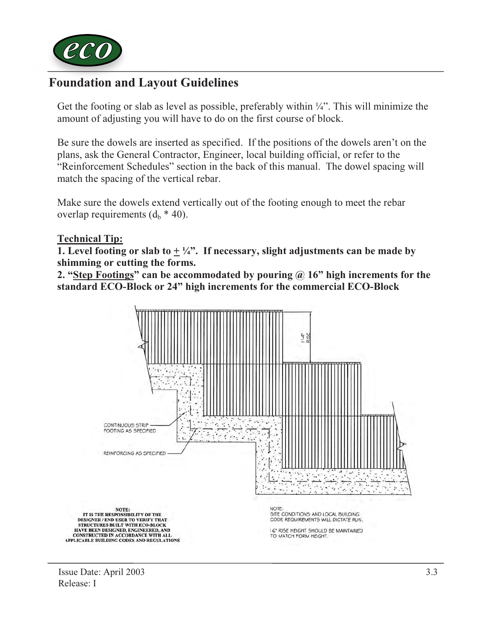

## Foundation and Layout Guidelines

Get the footing or slab as level as possible, preferably within  $\frac{1}{4}$ . This will minimize the amount of adjusting you will have to do on the first course of block.

Be sure the dowels are inserted as specified. If the positions of the dowels aren't on the plans, ask the General Contractor, Engineer, local building official, or refer to the "Reinforcement Schedules" section in the back of this manual. The dowel spacing will match the spacing of the vertical rebar.

Make sure the dowels extend vertically out of the footing enough to meet the rebar overlap requirements  $(d_h * 40)$ .

## Technical Tip:

1. Level footing or slab to  $+\frac{1}{4}$ . If necessary, slight adjustments can be made by shimming or cutting the forms.

2. "Step Footings" can be accommodated by pouring @ 16" high increments for the standard ECO-Block or 24" high increments for the commercial ECO-Block



Issue Date: April 2003 Release: I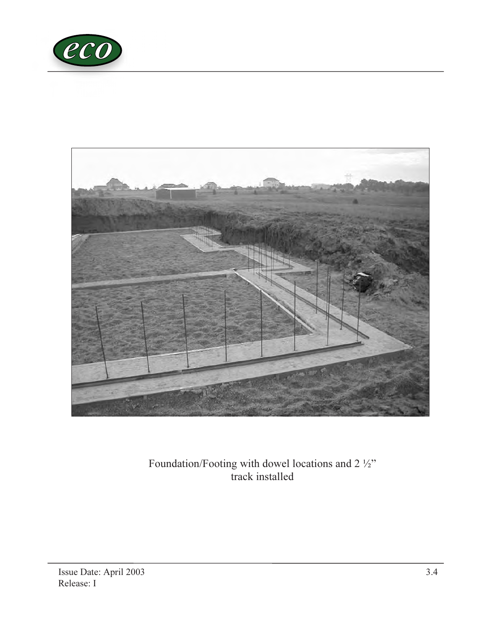



Foundation/Footing with dowel locations and 2 ½" track installed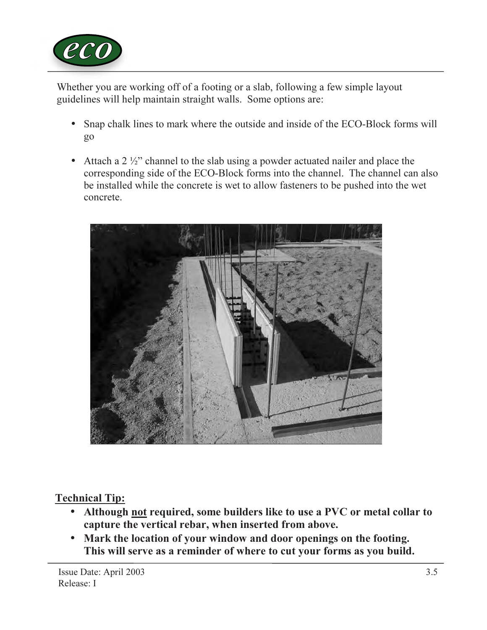

Whether you are working off of a footing or a slab, following a few simple layout guidelines will help maintain straight walls. Some options are:

- Snap chalk lines to mark where the outside and inside of the ECO-Block forms will go
- Attach a 2 ½" channel to the slab using a powder actuated nailer and place the corresponding side of the ECO-Block forms into the channel. The channel can also be installed while the concrete is wet to allow fasteners to be pushed into the wet concrete.



## Technical Tip:

- Although not required, some builders like to use a PVC or metal collar to capture the vertical rebar, when inserted from above.
- Mark the location of your window and door openings on the footing. This will serve as a reminder of where to cut your forms as you build.